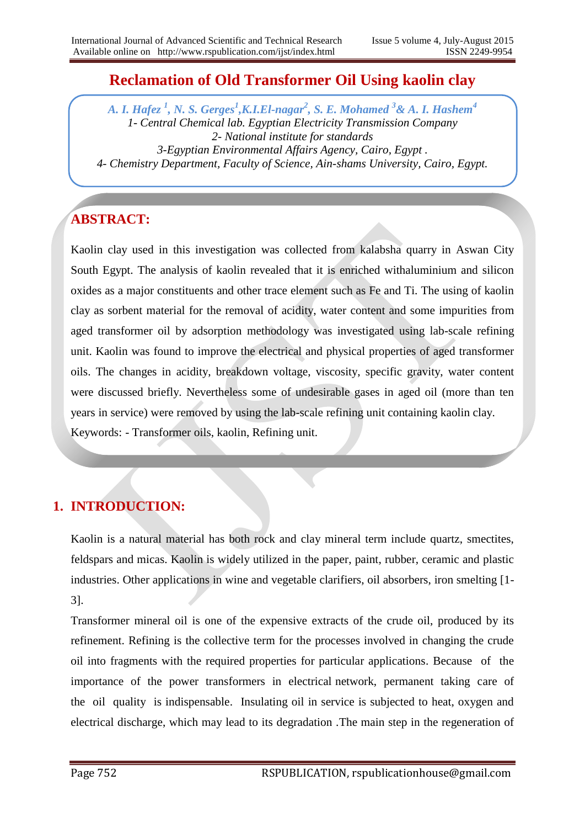# **Reclamation of Old Transformer Oil Using kaolin clay**

*A. I. Hafez <sup>1</sup> , N. S. Gerges<sup>1</sup> ,K.I.El-nagar<sup>2</sup> , S. E. Mohamed <sup>3</sup>& A. I. Hashem<sup>4</sup> 1- Central Chemical lab. Egyptian Electricity Transmission Company 2- National institute for standards 3-Egyptian Environmental Affairs Agency, Cairo, Egypt . 4- Chemistry Department, Faculty of Science, Ain-shams University, Cairo, Egypt.*

# **ABSTRACT:**

Kaolin clay used in this investigation was collected from kalabsha quarry in Aswan City South Egypt. The analysis of kaolin revealed that it is enriched withaluminium and silicon oxides as a major constituents and other trace element such as Fe and Ti. The using of kaolin clay as sorbent material for the removal of acidity, water content and some impurities from aged transformer oil by adsorption methodology was investigated using lab-scale refining unit. Kaolin was found to improve the electrical and physical properties of aged transformer oils. The changes in acidity, breakdown voltage, viscosity, specific gravity, water content were discussed briefly. Nevertheless some of undesirable gases in aged oil (more than ten years in service) were removed by using the lab-scale refining unit containing kaolin clay. Keywords: - Transformer oils, kaolin, Refining unit.

# **1. INTRODUCTION:**

Kaolin is a natural material has both rock and clay mineral term include quartz, smectites, feldspars and micas. Kaolin is widely utilized in the paper, paint, rubber, ceramic and plastic industries. Other applications in wine and vegetable clarifiers, oil absorbers, iron smelting [1- 3].

Transformer mineral oil is one of the expensive extracts of the crude oil, produced by its refinement. Refining is the collective term for the processes involved in changing the crude oil into fragments with the required properties for particular applications. Because of the importance of the power transformers in electrical network, permanent taking care of the oil quality is indispensable. Insulating oil in service is subjected to heat, oxygen and electrical discharge, which may lead to its degradation .The main step in the regeneration of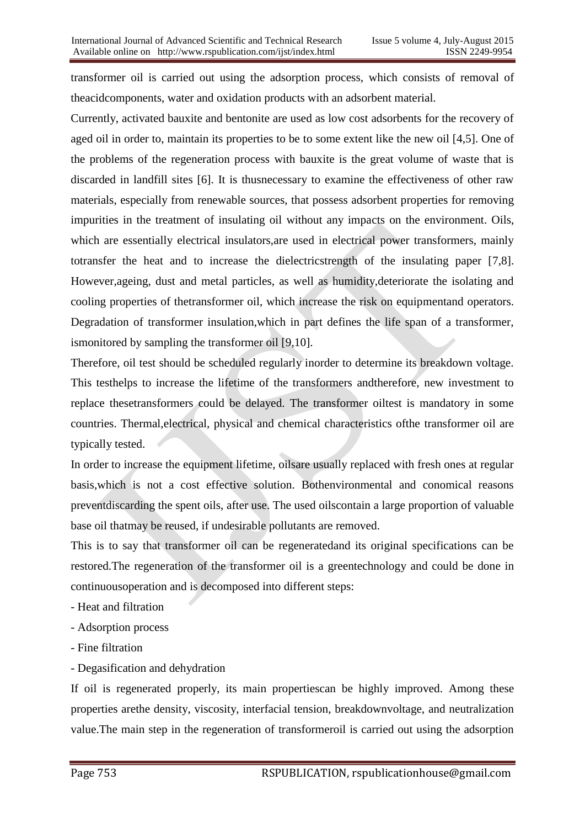transformer oil is carried out using the adsorption process, which consists of removal of theacidcomponents, water and oxidation products with an adsorbent material.

Currently, activated bauxite and bentonite are used as low cost adsorbents for the recovery of aged oil in order to, maintain its properties to be to some extent like the new oil [4,5]. One of the problems of the regeneration process with bauxite is the great volume of waste that is discarded in landfill sites [6]. It is thusnecessary to examine the effectiveness of other raw materials, especially from renewable sources, that possess adsorbent properties for removing impurities in the treatment of insulating oil without any impacts on the environment. Oils, which are essentially electrical insulators,are used in electrical power transformers, mainly totransfer the heat and to increase the dielectricstrength of the insulating paper [7,8]. However,ageing, dust and metal particles, as well as humidity,deteriorate the isolating and cooling properties of thetransformer oil, which increase the risk on equipmentand operators. Degradation of transformer insulation,which in part defines the life span of a transformer, ismonitored by sampling the transformer oil [9,10].

Therefore, oil test should be scheduled regularly inorder to determine its breakdown voltage. This testhelps to increase the lifetime of the transformers andtherefore, new investment to replace thesetransformers could be delayed. The transformer oiltest is mandatory in some countries. Thermal,electrical, physical and chemical characteristics ofthe transformer oil are typically tested.

In order to increase the equipment lifetime, oilsare usually replaced with fresh ones at regular basis,which is not a cost effective solution. Bothenvironmental and conomical reasons preventdiscarding the spent oils, after use. The used oilscontain a large proportion of valuable base oil thatmay be reused, if undesirable pollutants are removed.

This is to say that transformer oil can be regeneratedand its original specifications can be restored.The regeneration of the transformer oil is a greentechnology and could be done in continuousoperation and is decomposed into different steps:

- Heat and filtration
- Adsorption process
- Fine filtration
- Degasification and dehydration

If oil is regenerated properly, its main propertiescan be highly improved. Among these properties arethe density, viscosity, interfacial tension, breakdownvoltage, and neutralization value.The main step in the regeneration of transformeroil is carried out using the adsorption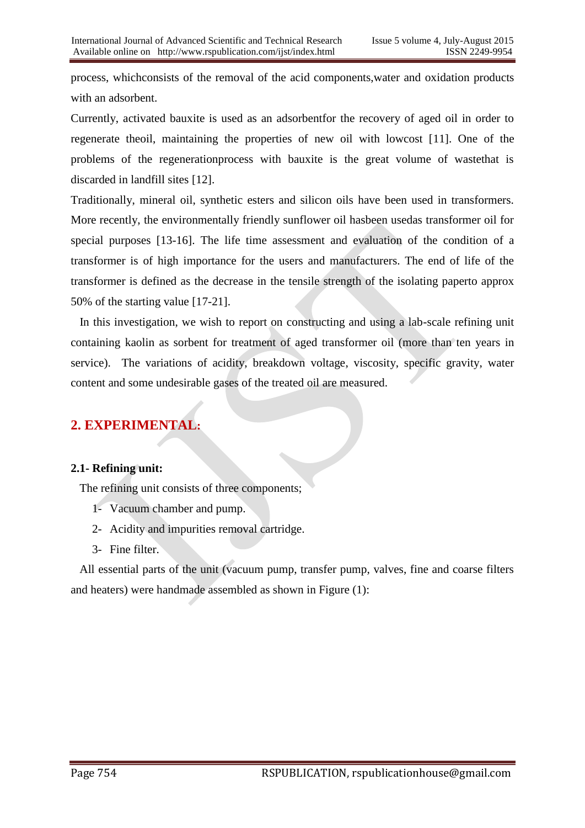process, whichconsists of the removal of the acid components,water and oxidation products with an adsorbent.

Currently, activated bauxite is used as an adsorbentfor the recovery of aged oil in order to regenerate theoil, maintaining the properties of new oil with lowcost [11]. One of the problems of the regenerationprocess with bauxite is the great volume of wastethat is discarded in landfill sites [12].

Traditionally, mineral oil, synthetic esters and silicon oils have been used in transformers. More recently, the environmentally friendly sunflower oil hasbeen usedas transformer oil for special purposes [13-16]. The life time assessment and evaluation of the condition of a transformer is of high importance for the users and manufacturers. The end of life of the transformer is defined as the decrease in the tensile strength of the isolating paperto approx 50% of the starting value [17-21].

 In this investigation, we wish to report on constructing and using a lab-scale refining unit containing kaolin as sorbent for treatment of aged transformer oil (more than ten years in service). The variations of acidity, breakdown voltage, viscosity, specific gravity, water content and some undesirable gases of the treated oil are measured.

# **2. EXPERIMENTAL:**

#### **2.1- Refining unit:**

The refining unit consists of three components;

- 1- Vacuum chamber and pump.
- 2- Acidity and impurities removal cartridge.
- 3- Fine filter.

 All essential parts of the unit (vacuum pump, transfer pump, valves, fine and coarse filters and heaters) were handmade assembled as shown in Figure (1):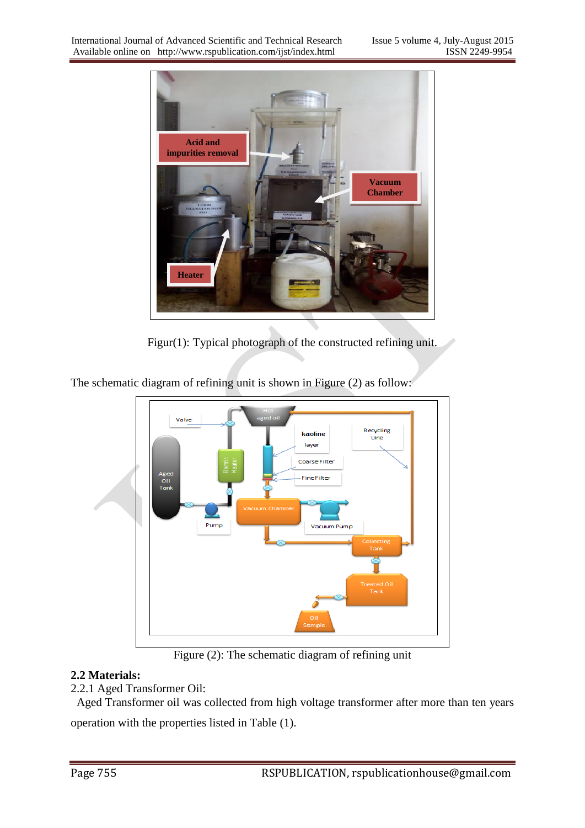

Figur(1): Typical photograph of the constructed refining unit.

The schematic diagram of refining unit is shown in Figure (2) as follow:



Figure (2): The schematic diagram of refining unit

## **2.2 Materials:**

## 2.2.1 Aged Transformer Oil:

 Aged Transformer oil was collected from high voltage transformer after more than ten years operation with the properties listed in Table (1).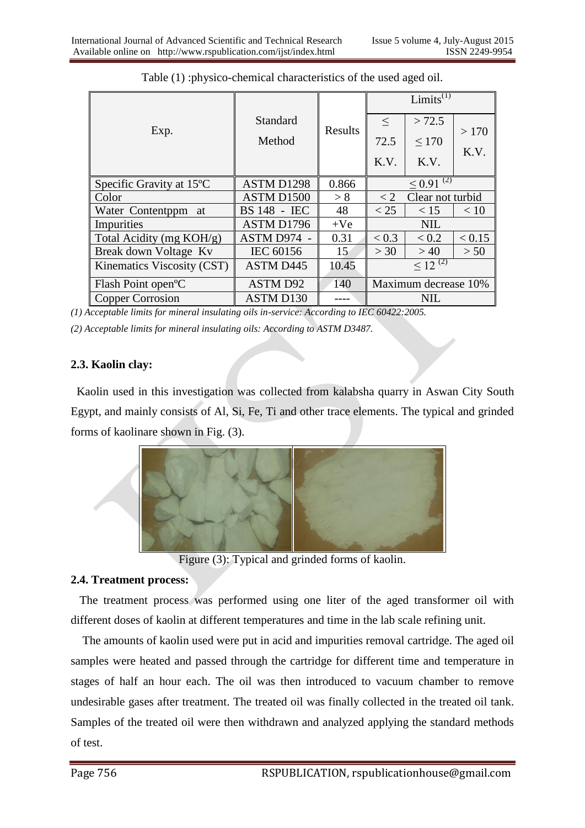|                                       |                     |         | Limits <sup><math>(1)</math></sup> |                              |              |  |
|---------------------------------------|---------------------|---------|------------------------------------|------------------------------|--------------|--|
| Exp.                                  | Standard<br>Method  | Results | $<\,$<br>72.5<br>K.V.              | > 72.5<br>$\leq 170$<br>K.V. | >170<br>K.V. |  |
| Specific Gravity at 15 <sup>o</sup> C | ASTM D1298          | 0.866   | $\leq 0.91^{(2)}$                  |                              |              |  |
| Color                                 | ASTM D1500          | > 8     | Clear not turbid<br>$\lt 2$        |                              |              |  |
| Water Contentppm at                   | <b>BS 148 - IEC</b> | 48      | < 25                               | < 15                         | < 10         |  |
| Impurities                            | ASTM D1796          | $+Ve$   | <b>NIL</b>                         |                              |              |  |
| Total Acidity (mg KOH/g)              | ASTM D974 -         | 0.31    | < 0.3                              | < 0.2                        | < 0.15       |  |
| Break down Voltage Kv                 | IEC 60156           | 15      | >30                                | >40                          | > 50         |  |
| <b>Kinematics Viscosity (CST)</b>     | <b>ASTM D445</b>    | 10.45   | $\leq 12^{(2)}$                    |                              |              |  |
| Flash Point open <sup>o</sup> C       | <b>ASTM D92</b>     | 140     | Maximum decrease 10%               |                              |              |  |
| Copper Corrosion                      | <b>ASTM D130</b>    |         | <b>NIL</b>                         |                              |              |  |

Table (1) :physico-chemical characteristics of the used aged oil.

*(1) Acceptable limits for mineral insulating oils in-service: According to IEC 60422:2005.*

*(2) Acceptable limits for mineral insulating oils: According to ASTM D3487.*

#### **2.3. Kaolin clay:**

 Kaolin used in this investigation was collected from kalabsha quarry in Aswan City South Egypt, and mainly consists of Al, Si, Fe, Ti and other trace elements. The typical and grinded forms of kaolinare shown in Fig. (3).



Figure (3): Typical and grinded forms of kaolin.

### **2.4. Treatment process:**

 The treatment process was performed using one liter of the aged transformer oil with different doses of kaolin at different temperatures and time in the lab scale refining unit.

 The amounts of kaolin used were put in acid and impurities removal cartridge. The aged oil samples were heated and passed through the cartridge for different time and temperature in stages of half an hour each. The oil was then introduced to vacuum chamber to remove undesirable gases after treatment. The treated oil was finally collected in the treated oil tank. Samples of the treated oil were then withdrawn and analyzed applying the standard methods of test.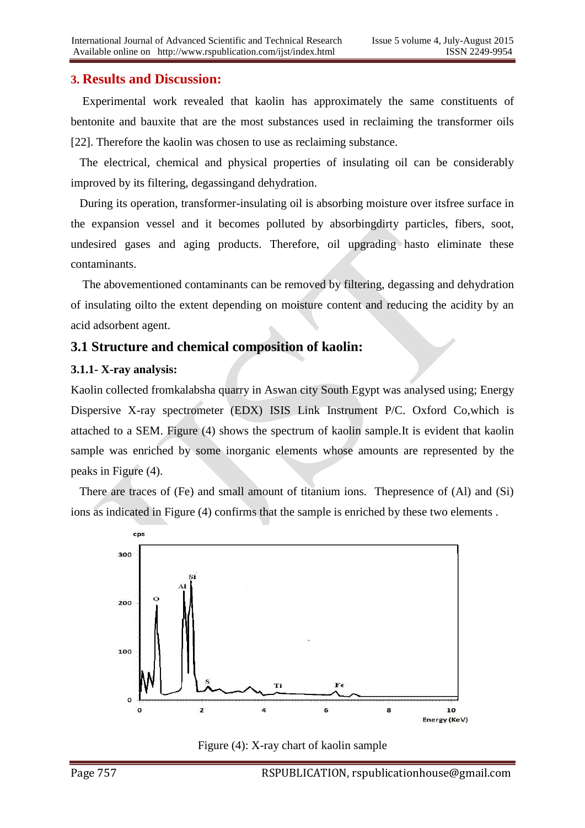### **3. Results and Discussion:**

 Experimental work revealed that kaolin has approximately the same constituents of bentonite and bauxite that are the most substances used in reclaiming the transformer oils [22]. Therefore the kaolin was chosen to use as reclaiming substance.

 The electrical, chemical and physical properties of insulating oil can be considerably improved by its filtering, degassingand dehydration.

 During its operation, transformer-insulating oil is absorbing moisture over itsfree surface in the expansion vessel and it becomes polluted by absorbingdirty particles, fibers, soot, undesired gases and aging products. Therefore, oil upgrading hasto eliminate these contaminants.

 The abovementioned contaminants can be removed by filtering, degassing and dehydration of insulating oilto the extent depending on moisture content and reducing the acidity by an acid adsorbent agent.

### **3.1 Structure and chemical composition of kaolin:**

#### **3.1.1- X-ray analysis:**

Kaolin collected fromkalabsha quarry in Aswan city South Egypt was analysed using; Energy Dispersive X-ray spectrometer (EDX) ISIS Link Instrument P/C. Oxford Co,which is attached to a SEM. Figure (4) shows the spectrum of kaolin sample.It is evident that kaolin sample was enriched by some inorganic elements whose amounts are represented by the peaks in Figure (4).

 There are traces of (Fe) and small amount of titanium ions. Thepresence of (Al) and (Si) ions as indicated in Figure (4) confirms that the sample is enriched by these two elements .



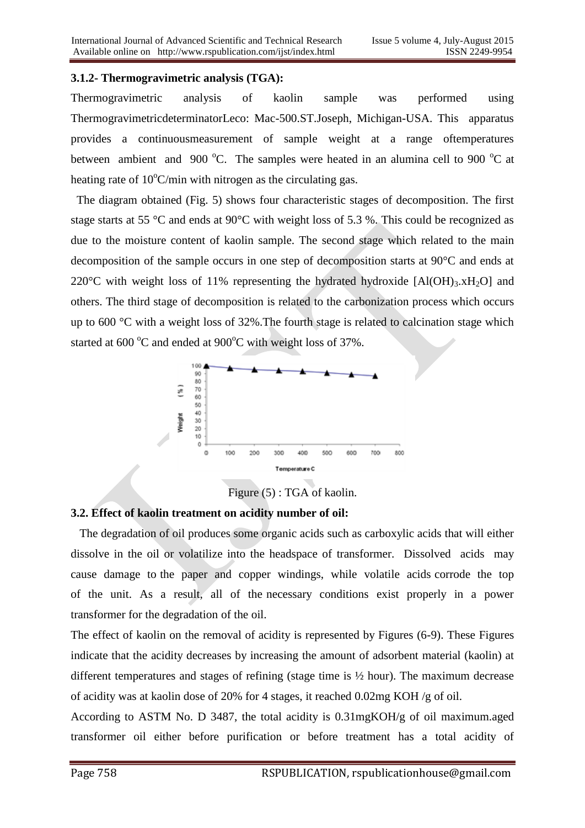#### **3.1.2- Thermogravimetric analysis (TGA):**

Thermogravimetric analysis of kaolin sample was performed using ThermogravimetricdeterminatorLeco: Mac-500.ST.Joseph, Michigan-USA. This apparatus provides a continuousmeasurement of sample weight at a range oftemperatures between ambient and 900  $^{\circ}$ C. The samples were heated in an alumina cell to 900  $^{\circ}$ C at heating rate of  $10^{\circ}$ C/min with nitrogen as the circulating gas.

 The diagram obtained (Fig. 5) shows four characteristic stages of decomposition. The first stage starts at 55 °C and ends at 90°C with weight loss of 5.3 %. This could be recognized as due to the moisture content of kaolin sample. The second stage which related to the main decomposition of the sample occurs in one step of decomposition starts at 90°C and ends at 220 $\degree$ C with weight loss of 11% representing the hydrated hydroxide [Al(OH)<sub>3</sub>.xH<sub>2</sub>O] and others. The third stage of decomposition is related to the carbonization process which occurs up to 600 °C with a weight loss of 32%.The fourth stage is related to calcination stage which started at  $600^{\circ}$ C and ended at  $900^{\circ}$ C with weight loss of 37%.



Figure (5) : TGA of kaolin.

#### **3.2. Effect of kaolin treatment on acidity number of oil:**

 The degradation of oil produces some organic acids such as carboxylic acids that will either dissolve in the oil or volatilize into the headspace of transformer. Dissolved acids may cause damage to the paper and copper windings, while volatile acids corrode the top of the unit. As a result, all of the necessary conditions exist properly in a power transformer for the degradation of the oil.

The effect of kaolin on the removal of acidity is represented by Figures (6-9). These Figures indicate that the acidity decreases by increasing the amount of adsorbent material (kaolin) at different temperatures and stages of refining (stage time is ½ hour). The maximum decrease of acidity was at kaolin dose of 20% for 4 stages, it reached 0.02mg KOH /g of oil.

According to ASTM No. D 3487, the total acidity is 0.31mgKOH/g of oil maximum.aged transformer oil either before purification or before treatment has a total acidity of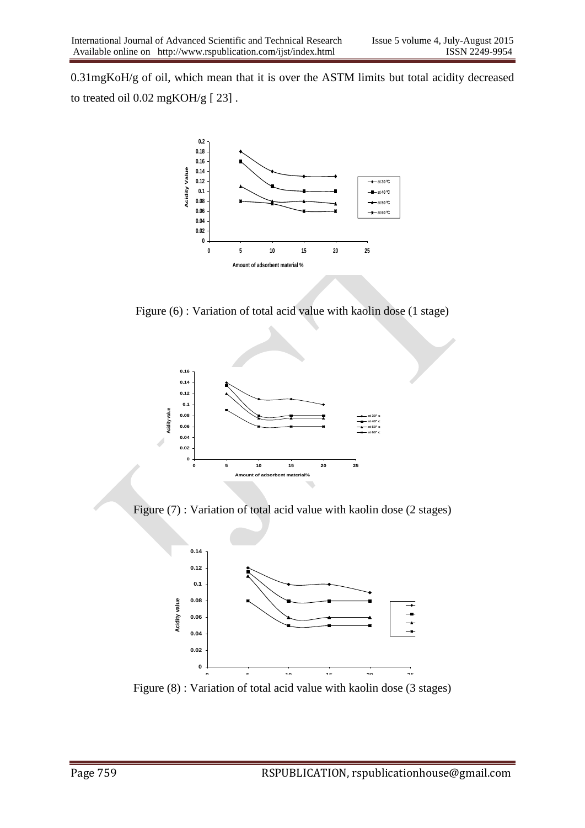0.31mgKoH/g of oil, which mean that it is over the ASTM limits but total acidity decreased to treated oil 0.02 mgKOH/g [ 23] .



Figure (6) : Variation of total acid value with kaolin dose (1 stage)



Figure (7) : Variation of total acid value with kaolin dose (2 stages)



Figure (8) : Variation of total acid value with kaolin dose (3 stages)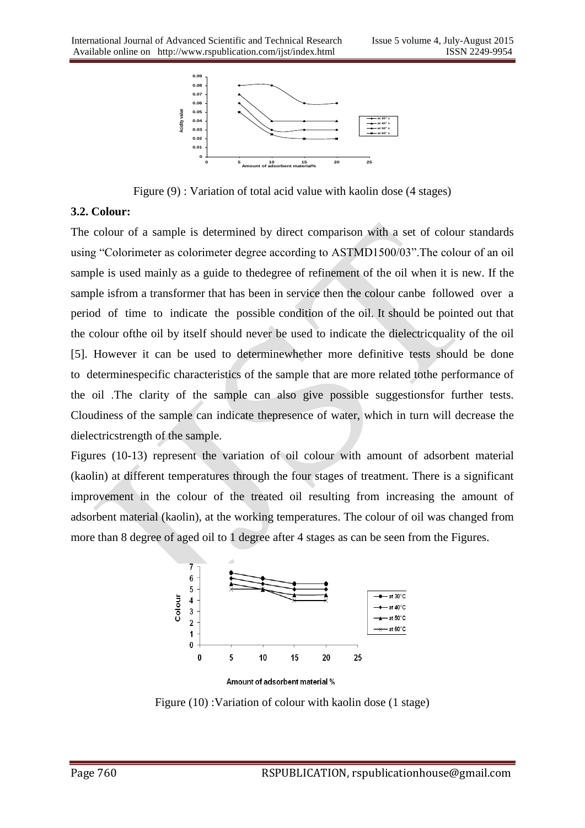

Figure (9) : Variation of total acid value with kaolin dose (4 stages)

#### **3.2. Colour:**

The colour of a sample is determined by direct comparison with a set of colour standards using "Colorimeter as colorimeter degree according to ASTMD1500/03".The colour of an oil sample is used mainly as a guide to thedegree of refinement of the oil when it is new. If the sample isfrom a transformer that has been in service then the colour canbe followed over a period of time to indicate the possible condition of the oil. It should be pointed out that the colour ofthe oil by itself should never be used to indicate the dielectricquality of the oil [5]. However it can be used to determinewhether more definitive tests should be done to determinespecific characteristics of the sample that are more related tothe performance of the oil .The clarity of the sample can also give possible suggestionsfor further tests. Cloudiness of the sample can indicate thepresence of water, which in turn will decrease the dielectricstrength of the sample.

Figures (10-13) represent the variation of oil colour with amount of adsorbent material (kaolin) at different temperatures through the four stages of treatment. There is a significant improvement in the colour of the treated oil resulting from increasing the amount of adsorbent material (kaolin), at the working temperatures. The colour of oil was changed from more than 8 degree of aged oil to 1 degree after 4 stages as can be seen from the Figures.



Amount of adsorbent material %

Figure (10) :Variation of colour with kaolin dose (1 stage)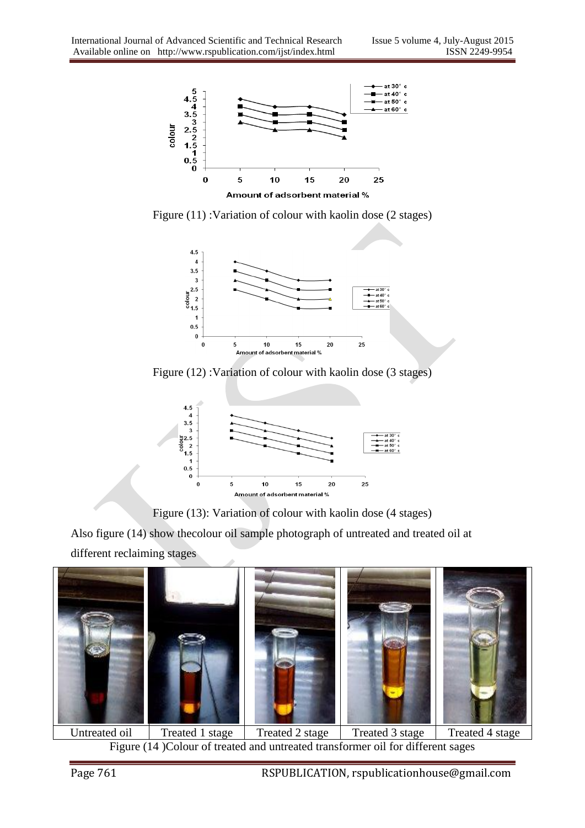

Figure (11) : Variation of colour with kaolin dose (2 stages)



Figure (12) :Variation of colour with kaolin dose (3 stages)





Also figure (14) show thecolour oil sample photograph of untreated and treated oil at different reclaiming stages



Untreated oil Treated 1 stage Treated 2 stage Treated 3 stage Treated 4 stage Figure (14 )Colour of treated and untreated transformer oil for different sages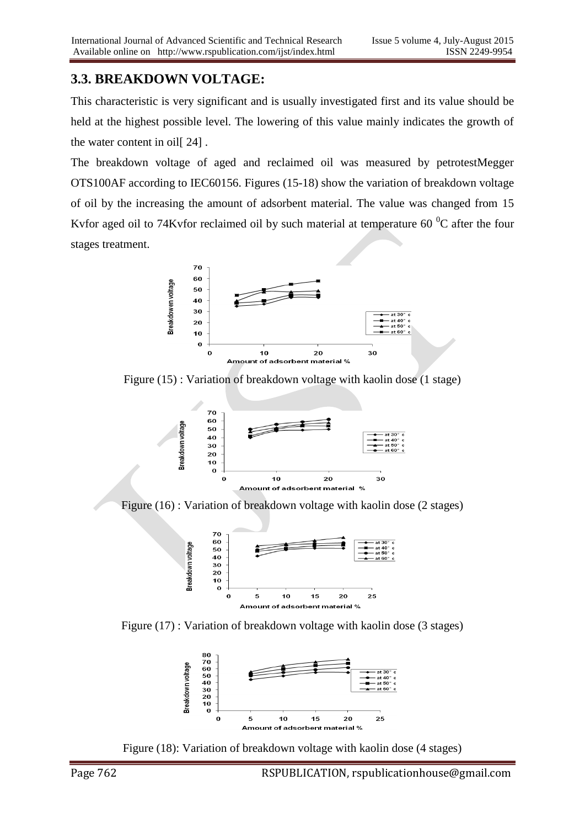## **3.3. BREAKDOWN VOLTAGE:**

This characteristic is very significant and is usually investigated first and its value should be held at the highest possible level. The lowering of this value mainly indicates the growth of the water content in oil[ 24] .

The breakdown voltage of aged and reclaimed oil was measured by petrotestMegger OTS100AF according to IEC60156. Figures (15-18) show the variation of breakdown voltage of oil by the increasing the amount of adsorbent material. The value was changed from 15 Kvfor aged oil to 74Kvfor reclaimed oil by such material at temperature  $60<sup>0</sup>C$  after the four stages treatment.



Figure (15) : Variation of breakdown voltage with kaolin dose (1 stage)



Figure (16) : Variation of breakdown voltage with kaolin dose (2 stages)



Figure (17) : Variation of breakdown voltage with kaolin dose (3 stages)



Figure (18): Variation of breakdown voltage with kaolin dose (4 stages)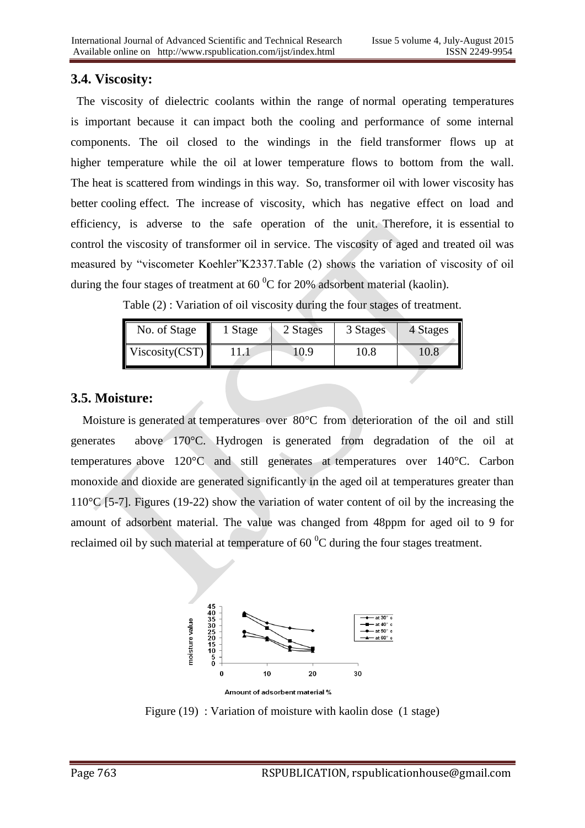## **3.4. Viscosity:**

 The viscosity of dielectric coolants within the range of normal operating temperatures is important because it can impact both the cooling and performance of some internal components. The oil closed to the windings in the field transformer flows up at higher temperature while the oil at lower temperature flows to bottom from the wall. The heat is scattered from windings in this way. So, transformer oil with lower viscosity has better cooling effect. The increase of viscosity, which has negative effect on load and efficiency, is adverse to the safe operation of the unit. Therefore, it is essential to control the viscosity of transformer oil in service. The viscosity of aged and treated oil was measured by "viscometer Koehler"K2337.Table (2) shows the variation of viscosity of oil during the four stages of treatment at  $60<sup>0</sup>C$  for 20% adsorbent material (kaolin).

Table (2) : Variation of oil viscosity during the four stages of treatment.

| No. of Stage   | Stage | 2 Stages | 3 Stages | 4 Stages |
|----------------|-------|----------|----------|----------|
| Viscosity(CST) |       | 10.9     | 10.8     | $10.8\,$ |

### **3.5. Moisture:**

Moisture is generated at temperatures over 80°C from deterioration of the oil and still generates above 170°C. Hydrogen is generated from degradation of the oil at temperatures above 120°C and still generates at temperatures over 140°C. Carbon monoxide and dioxide are generated significantly in the aged oil at temperatures greater than 110°C [5-7]. Figures (19-22) show the variation of water content of oil by the increasing the amount of adsorbent material. The value was changed from 48ppm for aged oil to 9 for reclaimed oil by such material at temperature of  $60<sup>0</sup>C$  during the four stages treatment.



Figure (19) : Variation of moisture with kaolin dose (1 stage)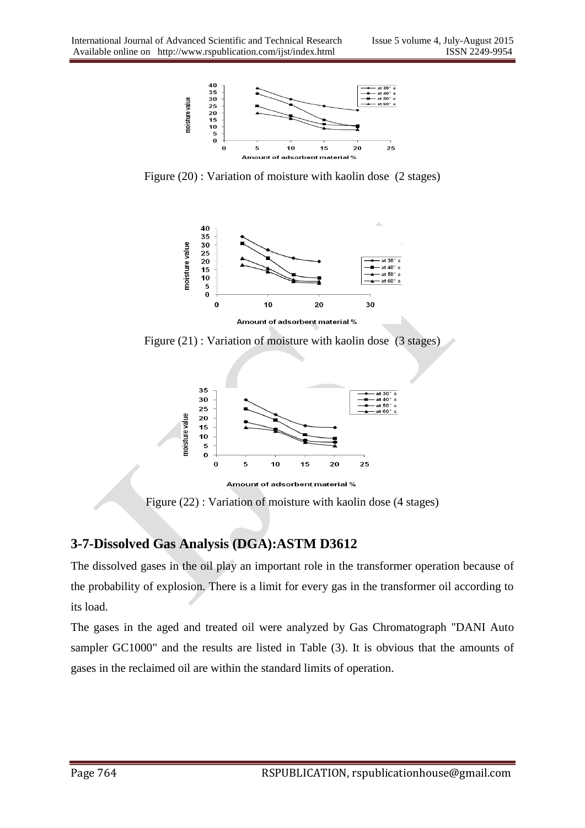

Figure (20) : Variation of moisture with kaolin dose (2 stages)



Figure (21) : Variation of moisture with kaolin dose (3 stages)



Amount of adsorbent material %

Figure (22) : Variation of moisture with kaolin dose (4 stages)

# **3-7-Dissolved Gas Analysis (DGA):ASTM D3612**

The dissolved gases in the oil play an important role in the transformer operation because of the probability of explosion. There is a limit for every gas in the transformer oil according to its load.

The gases in the aged and treated oil were analyzed by Gas Chromatograph "DANI Auto sampler GC1000" and the results are listed in Table (3). It is obvious that the amounts of gases in the reclaimed oil are within the standard limits of operation.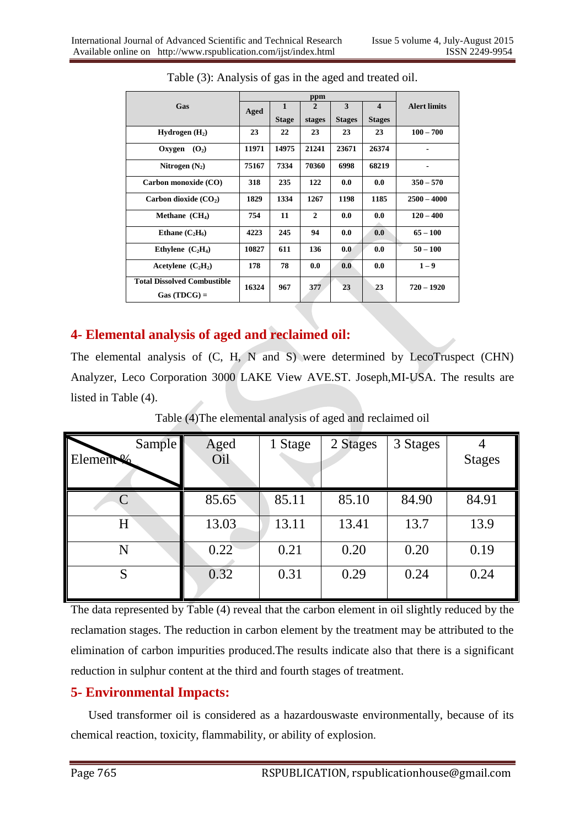|                                                     | ppm   |              |                |               |                         |                     |
|-----------------------------------------------------|-------|--------------|----------------|---------------|-------------------------|---------------------|
| Gas                                                 | Aged  | $\mathbf{1}$ | $\overline{2}$ | 3             | $\overline{\mathbf{4}}$ | <b>Alert limits</b> |
|                                                     |       | <b>Stage</b> | stages         | <b>Stages</b> | <b>Stages</b>           |                     |
| Hydrogen $(H_2)$                                    | 23    | 22           | 23             | 23            | 23                      | $100 - 700$         |
| Oxygen<br>(O <sub>2</sub> )                         | 11971 | 14975        | 21241          | 23671         | 26374                   |                     |
| Nitrogen $(N_2)$                                    | 75167 | 7334         | 70360          | 6998          | 68219                   |                     |
| Carbon monoxide (CO)                                | 318   | 235          | 122            | 0.0           | 0.0                     | $350 - 570$         |
| Carbon dioxide $(CO_2)$                             | 1829  | 1334         | 1267           | 1198          | 1185                    | $2500 - 4000$       |
| Methane $(CH_4)$                                    | 754   | 11           | $\mathbf{2}$   | 0.0           | 0.0                     | $120 - 400$         |
| Ethane $(C_2H_6)$                                   | 4223  | 245          | 94             | 0.0           | 0.0                     | $65 - 100$          |
| Ethylene $(C_2H_4)$                                 | 10827 | 611          | 136            | 0.0           | 0.0                     | $50 - 100$          |
| Acetylene $(C_2H_2)$                                | 178   | 78           | 0.0            | 0.0           | 0.0                     | $1 - 9$             |
| <b>Total Dissolved Combustible</b><br>$Gas(TDCG) =$ | 16324 | 967          | 377            | 23            | 23                      | $720 - 1920$        |

| Table (3): Analysis of gas in the aged and treated oil. |  |  |  |
|---------------------------------------------------------|--|--|--|
|                                                         |  |  |  |

# **4- Elemental analysis of aged and reclaimed oil:**

The elemental analysis of (C, H, N and S) were determined by LecoTruspect (CHN) Analyzer, Leco Corporation 3000 LAKE View AVE.ST. Joseph,MI-USA. The results are listed in Table (4).

| Sample    | Aged  | 1 Stage | 2 Stages | 3 Stages |               |
|-----------|-------|---------|----------|----------|---------------|
| Element % | Oil   |         |          |          | <b>Stages</b> |
|           |       |         |          |          |               |
|           | 85.65 | 85.11   | 85.10    | 84.90    | 84.91         |
| $H_{\rm}$ | 13.03 | 13.11   | 13.41    | 13.7     | 13.9          |
| N         | 0.22  | 0.21    | 0.20     | 0.20     | 0.19          |
| S         | 0.32  | 0.31    | 0.29     | 0.24     | 0.24          |

Table (4)The elemental analysis of aged and reclaimed oil

The data represented by Table (4) reveal that the carbon element in oil slightly reduced by the reclamation stages. The reduction in carbon element by the treatment may be attributed to the elimination of carbon impurities produced.The results indicate also that there is a significant reduction in sulphur content at the third and fourth stages of treatment.

# **5- Environmental Impacts:**

 Used transformer oil is considered as a hazardouswaste environmentally, because of its chemical reaction, toxicity, flammability, or ability of explosion.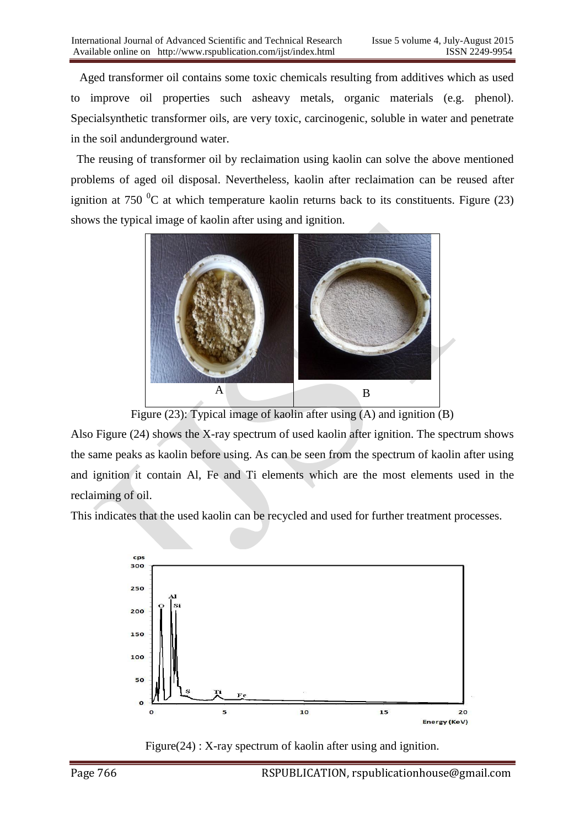Aged transformer oil contains some toxic chemicals resulting from additives which as used to improve oil properties such asheavy metals, organic materials (e.g. phenol). Specialsynthetic transformer oils, are very toxic, carcinogenic, soluble in water and penetrate in the soil andunderground water.

 The reusing of transformer oil by reclaimation using kaolin can solve the above mentioned problems of aged oil disposal. Nevertheless, kaolin after reclaimation can be reused after ignition at 750  $\rm{^0C}$  at which temperature kaolin returns back to its constituents. Figure (23) shows the typical image of kaolin after using and ignition.



Figure (23): Typical image of kaolin after using (A) and ignition (B)

Also Figure (24) shows the X-ray spectrum of used kaolin after ignition. The spectrum shows the same peaks as kaolin before using. As can be seen from the spectrum of kaolin after using and ignition it contain Al, Fe and Ti elements which are the most elements used in the reclaiming of oil.

This indicates that the used kaolin can be recycled and used for further treatment processes.



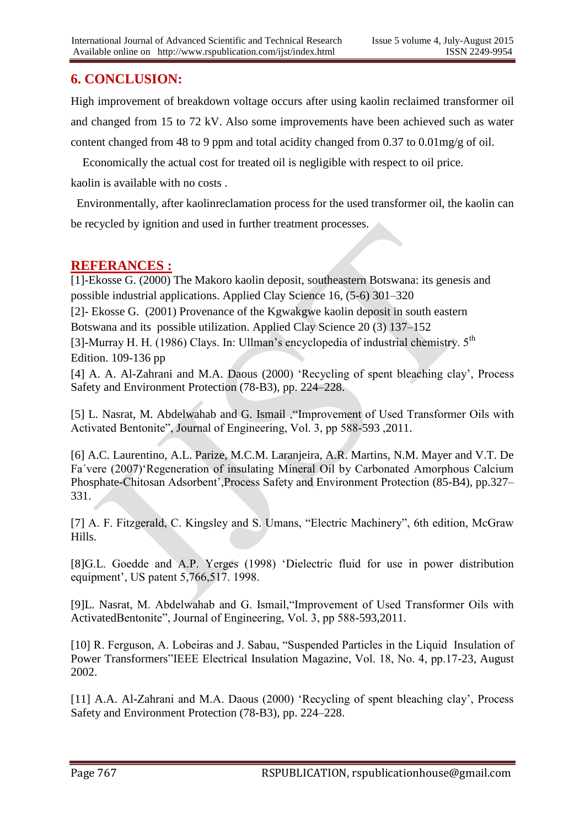# **6. CONCLUSION:**

High improvement of breakdown voltage occurs after using kaolin reclaimed transformer oil and changed from 15 to 72 kV. Also some improvements have been achieved such as water content changed from 48 to 9 ppm and total acidity changed from 0.37 to 0.01mg/g of oil.

 Economically the actual cost for treated oil is negligible with respect to oil price. kaolin is available with no costs .

 Environmentally, after kaolinreclamation process for the used transformer oil, the kaolin can be recycled by ignition and used in further treatment processes.

## **REFERANCES :**

[1]-Ekosse G. (2000) The Makoro kaolin deposit, southeastern Botswana: its genesis and possible industrial applications. Applied Clay Science 16, (5-6) 301–320

[2]- Ekosse G. (2001) Provenance of the Kgwakgwe kaolin deposit in south eastern

Botswana and its possible utilization. Applied Clay Science 20 (3) 137–152

[3]-Murray H. H. (1986) Clays. In: Ullman's encyclopedia of industrial chemistry. 5<sup>th</sup> Edition. 109-136 pp

[4] A. A. Al-Zahrani and M.A. Daous (2000) 'Recycling of spent bleaching clay', Process Safety and Environment Protection (78-B3), pp. 224–228.

[5] L. Nasrat, M. Abdelwahab and G. Ismail ,"Improvement of Used Transformer Oils with Activated Bentonite", Journal of Engineering, Vol. 3, pp 588-593 ,2011.

[6] A.C. Laurentino, A.L. Parize, M.C.M. Laranjeira, A.R. Martins, N.M. Mayer and V.T. De Fa´vere (2007)"Regeneration of insulating Mineral Oil by Carbonated Amorphous Calcium Phosphate-Chitosan Adsorbent",Process Safety and Environment Protection (85-B4), pp.327– 331.

[7] A. F. Fitzgerald, C. Kingsley and S. Umans, "Electric Machinery", 6th edition, McGraw Hills.

[8]G.L. Goedde and A.P. Yerges (1998) "Dielectric fluid for use in power distribution equipment', US patent 5,766,517. 1998.

[9]L. Nasrat, M. Abdelwahab and G. Ismail,"Improvement of Used Transformer Oils with ActivatedBentonite", Journal of Engineering, Vol. 3, pp 588-593,2011.

[10] R. Ferguson, A. Lobeiras and J. Sabau, "Suspended Particles in the Liquid Insulation of Power Transformers"IEEE Electrical Insulation Magazine, Vol. 18, No. 4, pp.17-23, August 2002.

[11] A.A. Al-Zahrani and M.A. Daous (2000) 'Recycling of spent bleaching clay', Process Safety and Environment Protection (78-B3), pp. 224–228.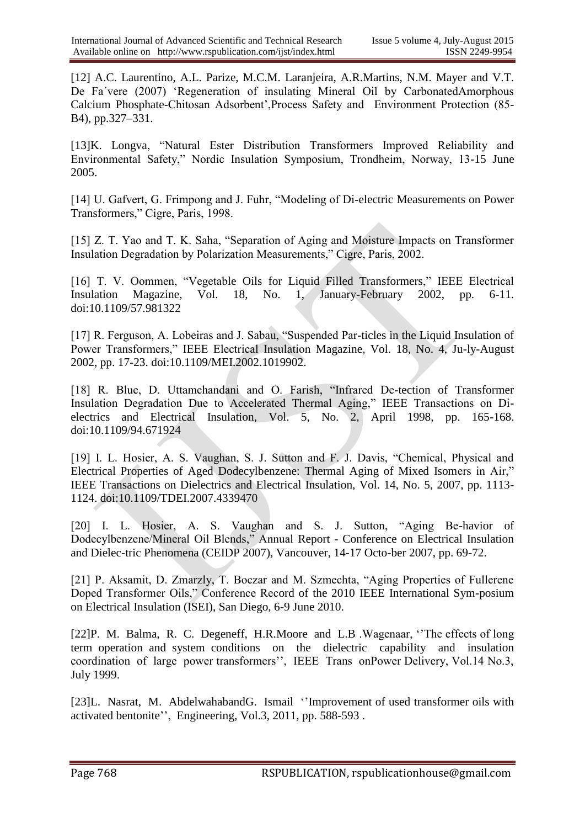[12] A.C. Laurentino, A.L. Parize, M.C.M. Laranjeira, A.R.Martins, N.M. Mayer and V.T. De Fa'vere (2007) 'Regeneration of insulating Mineral Oil by CarbonatedAmorphous Calcium Phosphate-Chitosan Adsorbent",Process Safety and Environment Protection (85- B4), pp.327–331.

[13]K. Longva, "Natural Ester Distribution Transformers Improved Reliability and Environmental Safety," Nordic Insulation Symposium, Trondheim, Norway, 13-15 June 2005.

[14] U. Gafvert, G. Frimpong and J. Fuhr, "Modeling of Di-electric Measurements on Power Transformers," Cigre, Paris, 1998.

[15] Z. T. Yao and T. K. Saha, "Separation of Aging and Moisture Impacts on Transformer Insulation Degradation by Polarization Measurements," Cigre, Paris, 2002.

[16] T. V. Oommen, "Vegetable Oils for Liquid Filled Transformers," IEEE Electrical Insulation Magazine, Vol. 18, No. 1, January-February 2002, pp. 6-11. doi:10.1109/57.981322

[17] R. Ferguson, A. Lobeiras and J. Sabau, "Suspended Par-ticles in the Liquid Insulation of Power Transformers," IEEE Electrical Insulation Magazine, Vol. 18, No. 4, Ju-ly-August 2002, pp. 17-23. doi:10.1109/MEI.2002.1019902.

[18] R. Blue, D. Uttamchandani and O. Farish, "Infrared De-tection of Transformer Insulation Degradation Due to Accelerated Thermal Aging," IEEE Transactions on Dielectrics and Electrical Insulation, Vol. 5, No. 2, April 1998, pp. 165-168. doi:10.1109/94.671924

[19] I. L. Hosier, A. S. Vaughan, S. J. Sutton and F. J. Davis, "Chemical, Physical and Electrical Properties of Aged Dodecylbenzene: Thermal Aging of Mixed Isomers in Air," IEEE Transactions on Dielectrics and Electrical Insulation, Vol. 14, No. 5, 2007, pp. 1113- 1124. doi:10.1109/TDEI.2007.4339470

[20] I. L. Hosier, A. S. Vaughan and S. J. Sutton, "Aging Be-havior of Dodecylbenzene/Mineral Oil Blends," Annual Report - Conference on Electrical Insulation and Dielec-tric Phenomena (CEIDP 2007), Vancouver, 14-17 Octo-ber 2007, pp. 69-72.

[21] P. Aksamit, D. Zmarzly, T. Boczar and M. Szmechta, "Aging Properties of Fullerene Doped Transformer Oils," Conference Record of the 2010 IEEE International Sym-posium on Electrical Insulation (ISEI), San Diego, 6-9 June 2010.

[22]P. M. Balma, R. C. Degeneff, H.R.Moore and L.B .Wagenaar, ""The effects of long term operation and system conditions on the dielectric capability and insulation coordination of large power transformers", IEEE Trans onPower Delivery, Vol.14 No.3, July 1999.

[23]L. Nasrat, M. AbdelwahabandG. Ismail "Improvement of used transformer oils with activated bentonite", Engineering, Vol.3, 2011, pp. 588-593.